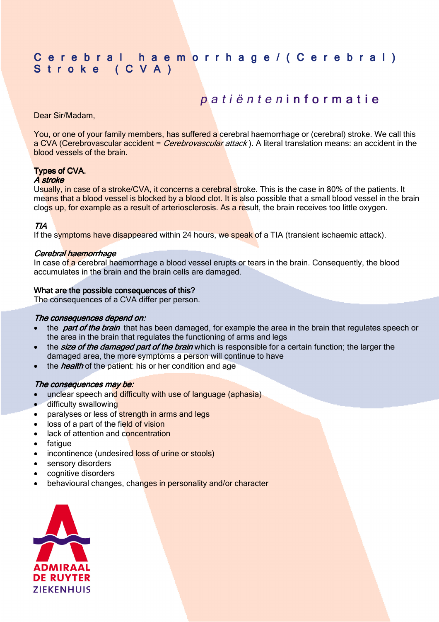## C e r e b r a l h a e m o r r h a g e / ( C e r e b r a l ) Stroke (CVA)

# patiënteninformatie

Dear Sir/Madam,

You, or one of your family members, has suffered a cerebral haemorrhage or (cerebral) stroke. We call this a CVA (Cerebrovascular accident = Cerebrovascular attack). A literal translation means: an accident in the blood vessels of the brain.

### **Types of CVA.**

#### A stroke

Usually, in case of a stroke/CVA, it concerns a cerebral stroke. This is the case in 80% of the patients. It means that a blood vessel is blocked by a blood clot. It is also possible that a small blood vessel in the brain clogs up, for example as a result of arteriosclerosis. As a result, the brain receives too little oxygen.

#### TIA

If the symptoms have disappeared within 24 hours, we speak of a TIA (transient ischaemic attack).

#### Cerebral haemorrhage

In case of a cerebral haemorrhage a blood vessel erupts or tears in the brain. Consequently, the blood accumulates in the brain and the brain cells are damaged.

#### What are the possible consequences of this?

The consequences of a CVA differ per person.

#### The consequences depend on:

- the *part of the brain* that has been damaged, for example the area in the brain that regulates speech or the area in the brain that regulates the functioning of arms and legs
- the **size of the damaged part of the brain** which is responsible for a certain function; the larger the damaged area, the more symptoms a person will continue to have
- the *health* of the patient: his or her condition and age

#### The consequences may be:

- unclear speech and difficulty with use of language (aphasia)
- difficulty swallowing
- paralyses or less of strength in arms and legs
- loss of a part of the field of vision
- lack of attention and concentration
- **fatigue**
- incontinence (undesired loss of urine or stools)
- sensory disorders
- cognitive disorders
- behavioural changes, changes in personality and/or character